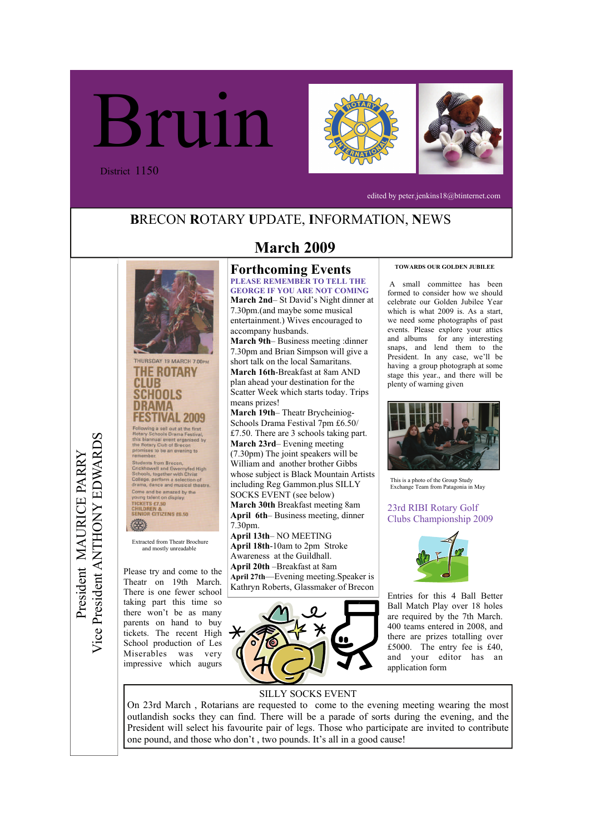





edited by peter.jenkins18@btinternet.com

# **B**RECON **R**OTARY **U**PDATE, **I**NFORMATION, **N**EWS



Theatr on 19th March. There is one fewer school taking part this time so there won't be as many parents on hand to buy tickets. The recent High School production of Les Miserables was very impressive which augurs

# **March 2009**

### **Forthcoming Events PLEASE REMEMBER TO TELL THE**

**GEORGE IF YOU ARE NOT COMING March 2nd**– St David's Night dinner at 7.30pm.(and maybe some musical entertainment.) Wives encouraged to accompany husbands.

**March 9th**– Business meeting :dinner 7.30pm and Brian Simpson will give a short talk on the local Samaritans. **March 16th**-Breakfast at 8am AND plan ahead your destination for the Scatter Week which starts today. Trips means prizes!

**March 19th**– Theatr Brycheiniog-Schools Drama Festival 7pm £6.50/ £7.50. There are 3 schools taking part. **March 23rd**– Evening meeting (7.30pm) The joint speakers will be William and another brother Gibbs whose subject is Black Mountain Artists including Reg Gammon.plus SILLY SOCKS EVENT (see below) **March 30th** Breakfast meeting 8am **April 6th**– Business meeting, dinner 7.30pm.

**April 13th**– NO MEETING **April 18th**-10am to 2pm Stroke Awareness at the Guildhall. **April 20th** –Breakfast at 8am **April 27th**—Evening meeting.Speaker is Kathryn Roberts, Glassmaker of Brecon



#### **TOWARDS OUR GOLDEN JUBILEE**

 A small committee has been formed to consider how we should celebrate our Golden Jubilee Year which is what 2009 is. As a start, we need some photographs of past events. Please explore your attics and albums for any interesting snaps, and lend them to the President. In any case, we'll be having a group photograph at some stage this year., and there will be plenty of warning given



This is a photo of the Group Study Exchange Team from Patagonia in May

### 23rd RIBI Rotary Golf Clubs Championship 2009



Entries for this 4 Ball Better Ball Match Play over 18 holes are required by the 7th March. 400 teams entered in 2008, and there are prizes totalling over £5000. The entry fee is £40, and your editor has an application form

## SILLY SOCKS EVENT

On 23rd March , Rotarians are requested to come to the evening meeting wearing the most outlandish socks they can find. There will be a parade of sorts during the evening, and the President will select his favourite pair of legs. Those who participate are invited to contribute one pound, and those who don't , two pounds. It's all in a good cause!

Vice President ANTHONY EDWARDS Vice President ANTHONY EDWARDS President MAURICE PARRY President MAURICE PARRY